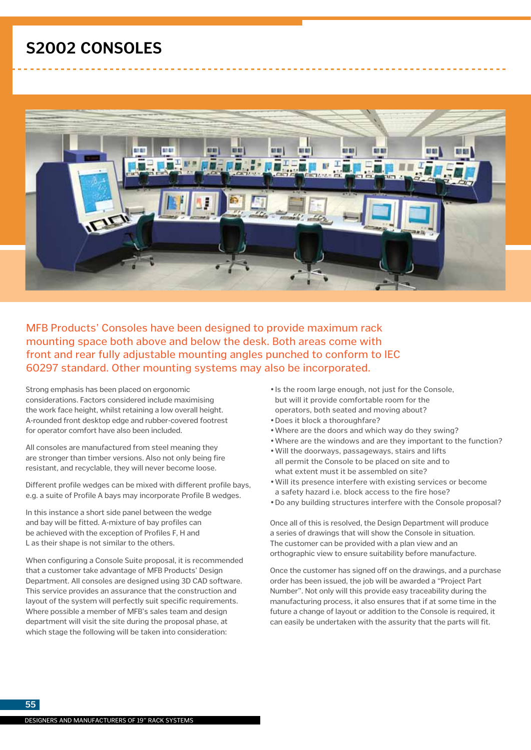# **S2002 CONSOLES**



MFB Products' Consoles have been designed to provide maximum rack mounting space both above and below the desk. Both areas come with front and rear fully adjustable mounting angles punched to conform to IEC 60297 standard. Other mounting systems may also be incorporated.

Strong emphasis has been placed on ergonomic considerations. Factors considered include maximising the work face height, whilst retaining a low overall height. A-rounded front desktop edge and rubber-covered footrest for operator comfort have also been included.

All consoles are manufactured from steel meaning they are stronger than timber versions. Also not only being fire resistant, and recyclable, they will never become loose.

Different profile wedges can be mixed with different profile bays, e.g. a suite of Profile A bays may incorporate Profile B wedges.

In this instance a short side panel between the wedge and bay will be fitted. A-mixture of bay profiles can be achieved with the exception of Profiles F, H and L as their shape is not similar to the others.

When configuring a Console Suite proposal, it is recommended that a customer take advantage of MFB Products' Design Department. All consoles are designed using 3D CAD software. This service provides an assurance that the construction and layout of the system will perfectly suit specific requirements. Where possible a member of MFB's sales team and design department will visit the site during the proposal phase, at which stage the following will be taken into consideration:

- •Is the room large enough, not just for the Console, but will it provide comfortable room for the operators, both seated and moving about?
- •Does it block a thoroughfare?
- •Where are the doors and which way do they swing?
- •Where are the windows and are they important to the function?
- •Will the doorways, passageways, stairs and lifts all permit the Console to be placed on site and to what extent must it be assembled on site?
- •Will its presence interfere with existing services or become a safety hazard i.e. block access to the fire hose?
- •Do any building structures interfere with the Console proposal?

Once all of this is resolved, the Design Department will produce a series of drawings that will show the Console in situation. The customer can be provided with a plan view and an orthographic view to ensure suitability before manufacture.

Once the customer has signed off on the drawings, and a purchase order has been issued, the job will be awarded a "Project Part Number". Not only will this provide easy traceability during the manufacturing process, it also ensures that if at some time in the future a change of layout or addition to the Console is required, it can easily be undertaken with the assurity that the parts will fit.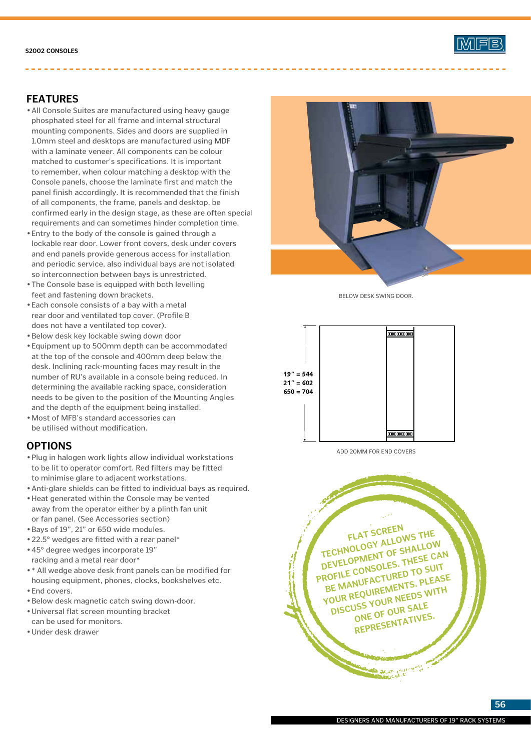. . . . . . . . . . . . . . . . . . . .



## **Features**

- •All Console Suites are manufactured using heavy gauge phosphated steel for all frame and internal structural mounting components. Sides and doors are supplied in 1.0mm steel and desktops are manufactured using MDF with a laminate veneer. All components can be colour matched to customer's specifications. It is important to remember, when colour matching a desktop with the Console panels, choose the laminate first and match the panel finish accordingly. It is recommended that the finish of all components, the frame, panels and desktop, be confirmed early in the design stage, as these are often special requirements and can sometimes hinder completion time.
- •Entry to the body of the console is gained through a lockable rear door. Lower front covers, desk under covers and end panels provide generous access for installation and periodic service, also individual bays are not isolated so interconnection between bays is unrestricted.
- •The Console base is equipped with both levelling feet and fastening down brackets.
- •Each console consists of a bay with a metal rear door and ventilated top cover. (Profile B does not have a ventilated top cover).
- •Below desk key lockable swing down door
- •Equipment up to 500mm depth can be accommodated at the top of the console and 400mm deep below the desk. Inclining rack-mounting faces may result in the number of RU's available in a console being reduced. In determining the available racking space, consideration needs to be given to the position of the Mounting Angles and the depth of the equipment being installed.
- •Most of MFB's standard accessories can be utilised without modification.

### **Options**

- •Plug in halogen work lights allow individual workstations to be lit to operator comfort. Red filters may be fitted to minimise glare to adjacent workstations.
- •Anti-glare shields can be fitted to individual bays as required.
- •Heat generated within the Console may be vented away from the operator either by a plinth fan unit or fan panel. (See Accessories section)
- •Bays of 19", 21" or 650 wide modules.
- •22.5° wedges are fitted with a rear panel\*
- •45° degree wedges incorporate 19" racking and a metal rear door\*
- •\* All wedge above desk front panels can be modified for housing equipment, phones, clocks, bookshelves etc.
- •End covers.
- •Below desk magnetic catch swing down-door.
- •Universal flat screen mounting bracket can be used for monitors.
- •Under desk drawer



Below desk swing door.



Add 20mm for end covers